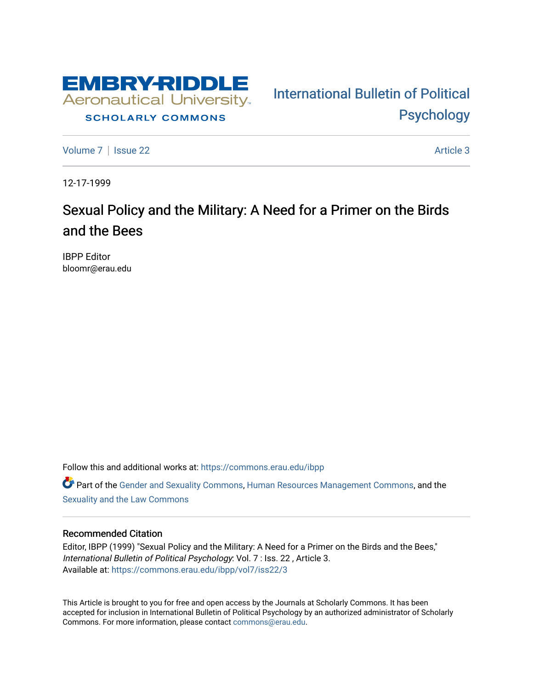

## **SCHOLARLY COMMONS**

[Volume 7](https://commons.erau.edu/ibpp/vol7) | [Issue 22](https://commons.erau.edu/ibpp/vol7/iss22) Article 3

[International Bulletin of Political](https://commons.erau.edu/ibpp)  [Psychology](https://commons.erau.edu/ibpp) 

12-17-1999

## Sexual Policy and the Military: A Need for a Primer on the Birds and the Bees

IBPP Editor bloomr@erau.edu

Follow this and additional works at: [https://commons.erau.edu/ibpp](https://commons.erau.edu/ibpp?utm_source=commons.erau.edu%2Fibpp%2Fvol7%2Fiss22%2F3&utm_medium=PDF&utm_campaign=PDFCoverPages)  Part of the [Gender and Sexuality Commons](http://network.bepress.com/hgg/discipline/420?utm_source=commons.erau.edu%2Fibpp%2Fvol7%2Fiss22%2F3&utm_medium=PDF&utm_campaign=PDFCoverPages), [Human Resources Management Commons](http://network.bepress.com/hgg/discipline/633?utm_source=commons.erau.edu%2Fibpp%2Fvol7%2Fiss22%2F3&utm_medium=PDF&utm_campaign=PDFCoverPages), and the

[Sexuality and the Law Commons](http://network.bepress.com/hgg/discipline/877?utm_source=commons.erau.edu%2Fibpp%2Fvol7%2Fiss22%2F3&utm_medium=PDF&utm_campaign=PDFCoverPages) 

## Recommended Citation

Editor, IBPP (1999) "Sexual Policy and the Military: A Need for a Primer on the Birds and the Bees," International Bulletin of Political Psychology: Vol. 7 : Iss. 22 , Article 3. Available at: [https://commons.erau.edu/ibpp/vol7/iss22/3](https://commons.erau.edu/ibpp/vol7/iss22/3?utm_source=commons.erau.edu%2Fibpp%2Fvol7%2Fiss22%2F3&utm_medium=PDF&utm_campaign=PDFCoverPages)

This Article is brought to you for free and open access by the Journals at Scholarly Commons. It has been accepted for inclusion in International Bulletin of Political Psychology by an authorized administrator of Scholarly Commons. For more information, please contact [commons@erau.edu.](mailto:commons@erau.edu)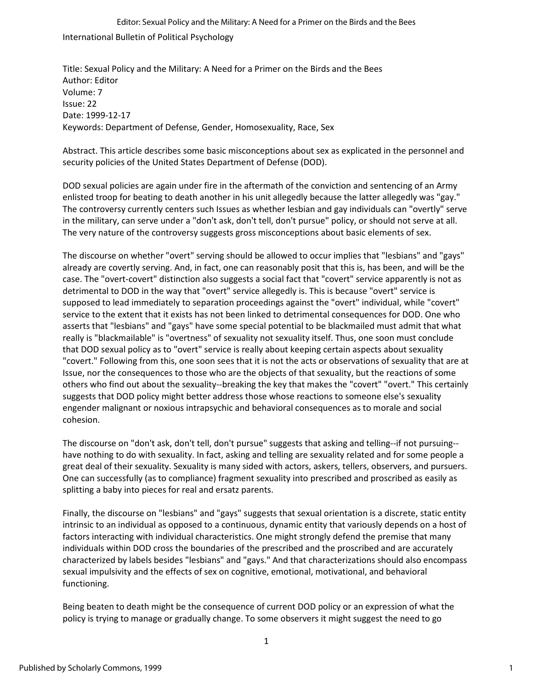International Bulletin of Political Psychology Editor: Sexual Policy and the Military: A Need for a Primer on the Birds and the Bees

Title: Sexual Policy and the Military: A Need for a Primer on the Birds and the Bees Author: Editor Volume: 7 Issue: 22 Date: 1999-12-17 Keywords: Department of Defense, Gender, Homosexuality, Race, Sex

Abstract. This article describes some basic misconceptions about sex as explicated in the personnel and security policies of the United States Department of Defense (DOD).

DOD sexual policies are again under fire in the aftermath of the conviction and sentencing of an Army enlisted troop for beating to death another in his unit allegedly because the latter allegedly was "gay." The controversy currently centers such Issues as whether lesbian and gay individuals can "overtly" serve in the military, can serve under a "don't ask, don't tell, don't pursue" policy, or should not serve at all. The very nature of the controversy suggests gross misconceptions about basic elements of sex.

The discourse on whether "overt" serving should be allowed to occur implies that "lesbians" and "gays" already are covertly serving. And, in fact, one can reasonably posit that this is, has been, and will be the case. The "overt-covert" distinction also suggests a social fact that "covert" service apparently is not as detrimental to DOD in the way that "overt" service allegedly is. This is because "overt" service is supposed to lead immediately to separation proceedings against the "overt" individual, while "covert" service to the extent that it exists has not been linked to detrimental consequences for DOD. One who asserts that "lesbians" and "gays" have some special potential to be blackmailed must admit that what really is "blackmailable" is "overtness" of sexuality not sexuality itself. Thus, one soon must conclude that DOD sexual policy as to "overt" service is really about keeping certain aspects about sexuality "covert." Following from this, one soon sees that it is not the acts or observations of sexuality that are at Issue, nor the consequences to those who are the objects of that sexuality, but the reactions of some others who find out about the sexuality--breaking the key that makes the "covert" "overt." This certainly suggests that DOD policy might better address those whose reactions to someone else's sexuality engender malignant or noxious intrapsychic and behavioral consequences as to morale and social cohesion.

The discourse on "don't ask, don't tell, don't pursue" suggests that asking and telling--if not pursuing- have nothing to do with sexuality. In fact, asking and telling are sexuality related and for some people a great deal of their sexuality. Sexuality is many sided with actors, askers, tellers, observers, and pursuers. One can successfully (as to compliance) fragment sexuality into prescribed and proscribed as easily as splitting a baby into pieces for real and ersatz parents.

Finally, the discourse on "lesbians" and "gays" suggests that sexual orientation is a discrete, static entity intrinsic to an individual as opposed to a continuous, dynamic entity that variously depends on a host of factors interacting with individual characteristics. One might strongly defend the premise that many individuals within DOD cross the boundaries of the prescribed and the proscribed and are accurately characterized by labels besides "lesbians" and "gays." And that characterizations should also encompass sexual impulsivity and the effects of sex on cognitive, emotional, motivational, and behavioral functioning.

Being beaten to death might be the consequence of current DOD policy or an expression of what the policy is trying to manage or gradually change. To some observers it might suggest the need to go